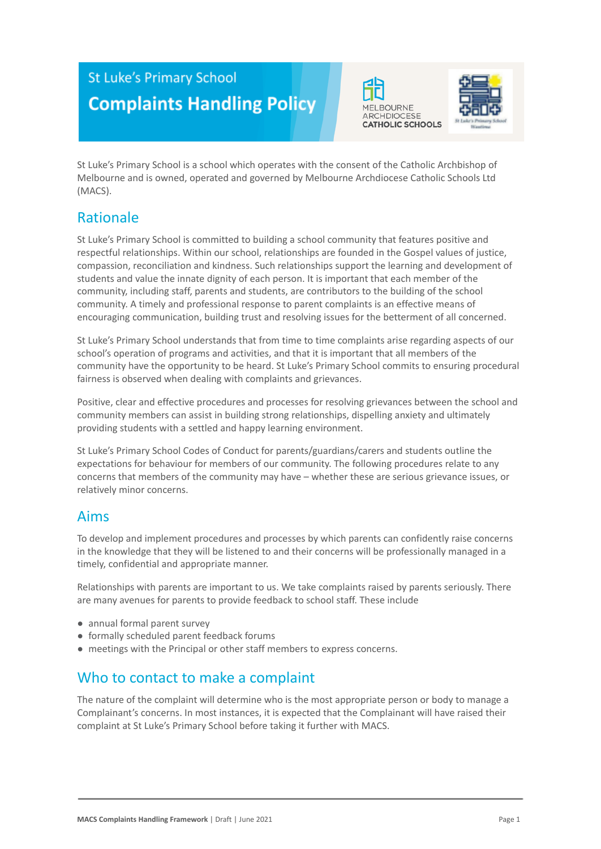# **St Luke's Primary School Complaints Handling Policy**





St Luke's Primary School is a school which operates with the consent of the Catholic Archbishop of Melbourne and is owned, operated and governed by Melbourne Archdiocese Catholic Schools Ltd (MACS).

# Rationale

St Luke's Primary School is committed to building a school community that features positive and respectful relationships. Within our school, relationships are founded in the Gospel values of justice, compassion, reconciliation and kindness. Such relationships support the learning and development of students and value the innate dignity of each person. It is important that each member of the community, including staff, parents and students, are contributors to the building of the school community. A timely and professional response to parent complaints is an effective means of encouraging communication, building trust and resolving issues for the betterment of all concerned.

St Luke's Primary School understands that from time to time complaints arise regarding aspects of our school's operation of programs and activities, and that it is important that all members of the community have the opportunity to be heard. St Luke's Primary School commits to ensuring procedural fairness is observed when dealing with complaints and grievances.

Positive, clear and effective procedures and processes for resolving grievances between the school and community members can assist in building strong relationships, dispelling anxiety and ultimately providing students with a settled and happy learning environment.

St Luke's Primary School Codes of Conduct for parents/guardians/carers and students outline the expectations for behaviour for members of our community. The following procedures relate to any concerns that members of the community may have – whether these are serious grievance issues, or relatively minor concerns.

# Aims

To develop and implement procedures and processes by which parents can confidently raise concerns in the knowledge that they will be listened to and their concerns will be professionally managed in a timely, confidential and appropriate manner.

Relationships with parents are important to us. We take complaints raised by parents seriously. There are many avenues for parents to provide feedback to school staff. These include

- annual formal parent survey
- formally scheduled parent feedback forums
- meetings with the Principal or other staff members to express concerns.

# Who to contact to make a complaint

The nature of the complaint will determine who is the most appropriate person or body to manage a Complainant's concerns. In most instances, it is expected that the Complainant will have raised their complaint at St Luke's Primary School before taking it further with MACS.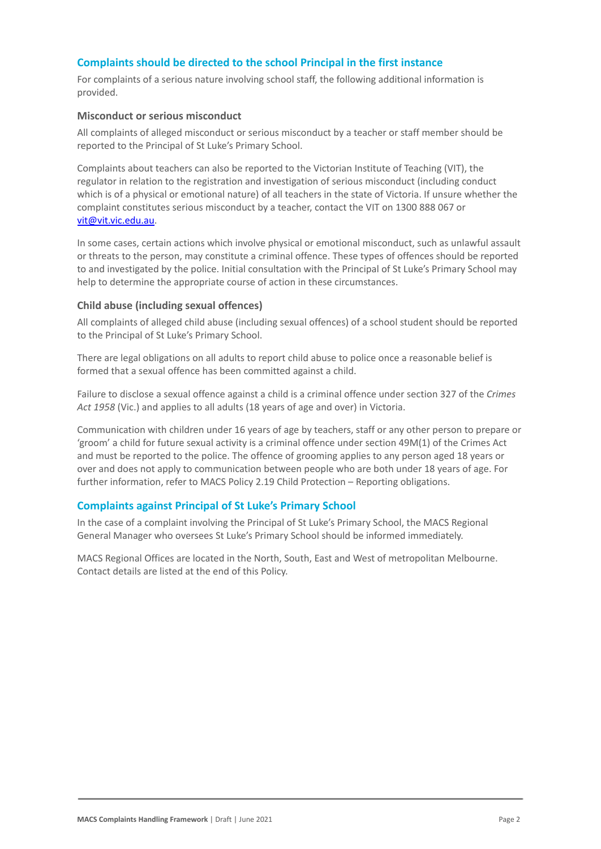### **Complaints should be directed to the school Principal in the first instance**

For complaints of a serious nature involving school staff, the following additional information is provided.

#### **Misconduct or serious misconduct**

All complaints of alleged misconduct or serious misconduct by a teacher or staff member should be reported to the Principal of St Luke's Primary School.

Complaints about teachers can also be reported to the Victorian Institute of Teaching (VIT), the regulator in relation to the registration and investigation of serious misconduct (including conduct which is of a physical or emotional nature) of all teachers in the state of Victoria. If unsure whether the complaint constitutes serious misconduct by a teacher, contact the VIT on 1300 888 067 or [vit@vit.vic.edu.au](mailto:vit@vit.vic.edu.au).

In some cases, certain actions which involve physical or emotional misconduct, such as unlawful assault or threats to the person, may constitute a criminal offence. These types of offences should be reported to and investigated by the police. Initial consultation with the Principal of St Luke's Primary School may help to determine the appropriate course of action in these circumstances.

### **Child abuse (including sexual offences)**

All complaints of alleged child abuse (including sexual offences) of a school student should be reported to the Principal of St Luke's Primary School.

There are legal obligations on all adults to report child abuse to police once a reasonable belief is formed that a sexual offence has been committed against a child.

Failure to disclose a sexual offence against a child is a criminal offence under section 327 of the *Crimes Act 1958* (Vic.) and applies to all adults (18 years of age and over) in Victoria.

Communication with children under 16 years of age by teachers, staff or any other person to prepare or 'groom' a child for future sexual activity is a criminal offence under section 49M(1) of the Crimes Act and must be reported to the police. The offence of grooming applies to any person aged 18 years or over and does not apply to communication between people who are both under 18 years of age. For further information, refer to MACS Policy 2.19 Child Protection – Reporting obligations.

### **Complaints against Principal of St Luke's Primary School**

In the case of a complaint involving the Principal of St Luke's Primary School, the MACS Regional General Manager who oversees St Luke's Primary School should be informed immediately.

MACS Regional Offices are located in the North, South, East and West of metropolitan Melbourne. Contact details are listed at the end of this Policy.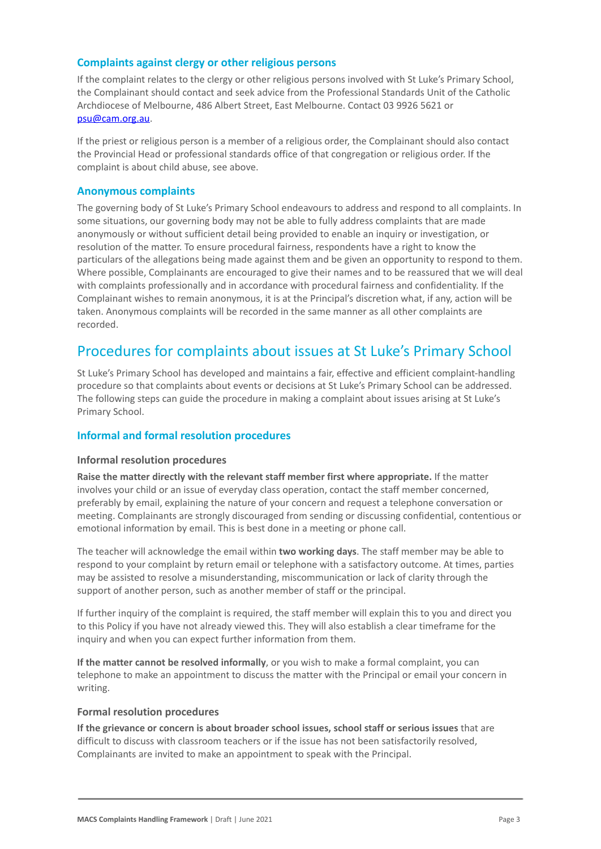### **Complaints against clergy or other religious persons**

If the complaint relates to the clergy or other religious persons involved with St Luke's Primary School, the Complainant should contact and seek advice from the Professional Standards Unit of the Catholic Archdiocese of Melbourne, 486 Albert Street, East Melbourne. Contact 03 9926 5621 or [psu@cam.org.au.](mailto:psu@cam.org.au)

If the priest or religious person is a member of a religious order, the Complainant should also contact the Provincial Head or professional standards office of that congregation or religious order. If the complaint is about child abuse, see above.

### **Anonymous complaints**

The governing body of St Luke's Primary School endeavours to address and respond to all complaints. In some situations, our governing body may not be able to fully address complaints that are made anonymously or without sufficient detail being provided to enable an inquiry or investigation, or resolution of the matter. To ensure procedural fairness, respondents have a right to know the particulars of the allegations being made against them and be given an opportunity to respond to them. Where possible, Complainants are encouraged to give their names and to be reassured that we will deal with complaints professionally and in accordance with procedural fairness and confidentiality. If the Complainant wishes to remain anonymous, it is at the Principal's discretion what, if any, action will be taken. Anonymous complaints will be recorded in the same manner as all other complaints are recorded.

### Procedures for complaints about issues at St Luke's Primary School

St Luke's Primary School has developed and maintains a fair, effective and efficient complaint-handling procedure so that complaints about events or decisions at St Luke's Primary School can be addressed. The following steps can guide the procedure in making a complaint about issues arising at St Luke's Primary School.

### **Informal and formal resolution procedures**

### **Informal resolution procedures**

**Raise the matter directly with the relevant staff member first where appropriate.** If the matter involves your child or an issue of everyday class operation, contact the staff member concerned, preferably by email, explaining the nature of your concern and request a telephone conversation or meeting. Complainants are strongly discouraged from sending or discussing confidential, contentious or emotional information by email. This is best done in a meeting or phone call.

The teacher will acknowledge the email within **two working days**. The staff member may be able to respond to your complaint by return email or telephone with a satisfactory outcome. At times, parties may be assisted to resolve a misunderstanding, miscommunication or lack of clarity through the support of another person, such as another member of staff or the principal.

If further inquiry of the complaint is required, the staff member will explain this to you and direct you to this Policy if you have not already viewed this. They will also establish a clear timeframe for the inquiry and when you can expect further information from them.

**If the matter cannot be resolved informally**, or you wish to make a formal complaint, you can telephone to make an appointment to discuss the matter with the Principal or email your concern in writing.

### **Formal resolution procedures**

**If the grievance or concern is about broader school issues, school staff or serious issues** that are difficult to discuss with classroom teachers or if the issue has not been satisfactorily resolved, Complainants are invited to make an appointment to speak with the Principal.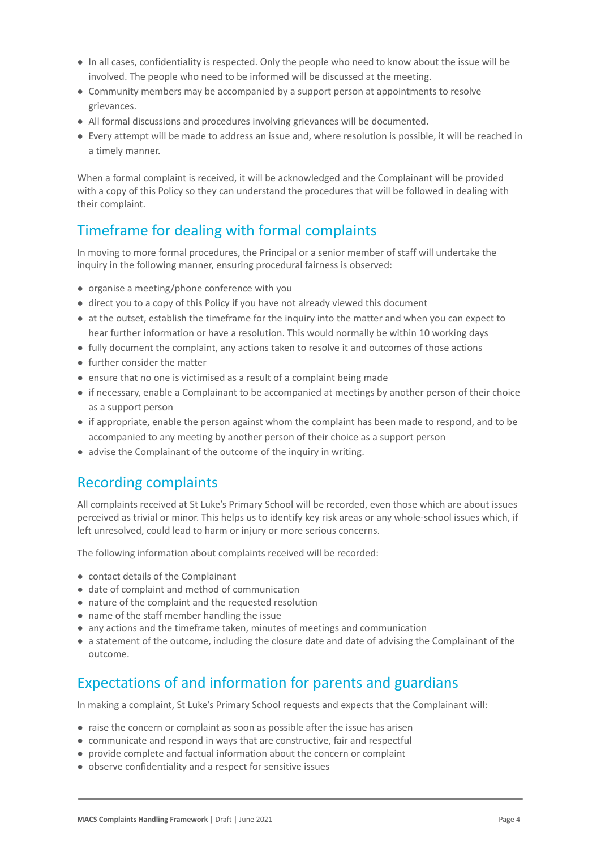- In all cases, confidentiality is respected. Only the people who need to know about the issue will be involved. The people who need to be informed will be discussed at the meeting.
- Community members may be accompanied by a support person at appointments to resolve grievances.
- All formal discussions and procedures involving grievances will be documented.
- Every attempt will be made to address an issue and, where resolution is possible, it will be reached in a timely manner.

When a formal complaint is received, it will be acknowledged and the Complainant will be provided with a copy of this Policy so they can understand the procedures that will be followed in dealing with their complaint.

# Timeframe for dealing with formal complaints

In moving to more formal procedures, the Principal or a senior member of staff will undertake the inquiry in the following manner, ensuring procedural fairness is observed:

- organise a meeting/phone conference with you
- direct you to a copy of this Policy if you have not already viewed this document
- at the outset, establish the timeframe for the inquiry into the matter and when you can expect to hear further information or have a resolution. This would normally be within 10 working days
- fully document the complaint, any actions taken to resolve it and outcomes of those actions
- further consider the matter
- ensure that no one is victimised as a result of a complaint being made
- if necessary, enable a Complainant to be accompanied at meetings by another person of their choice as a support person
- if appropriate, enable the person against whom the complaint has been made to respond, and to be accompanied to any meeting by another person of their choice as a support person
- advise the Complainant of the outcome of the inquiry in writing.

# Recording complaints

All complaints received at St Luke's Primary School will be recorded, even those which are about issues perceived as trivial or minor. This helps us to identify key risk areas or any whole-school issues which, if left unresolved, could lead to harm or injury or more serious concerns.

The following information about complaints received will be recorded:

- contact details of the Complainant
- date of complaint and method of communication
- nature of the complaint and the requested resolution
- name of the staff member handling the issue
- any actions and the timeframe taken, minutes of meetings and communication
- a statement of the outcome, including the closure date and date of advising the Complainant of the outcome.

# Expectations of and information for parents and guardians

In making a complaint, St Luke's Primary School requests and expects that the Complainant will:

- raise the concern or complaint as soon as possible after the issue has arisen
- communicate and respond in ways that are constructive, fair and respectful
- provide complete and factual information about the concern or complaint
- observe confidentiality and a respect for sensitive issues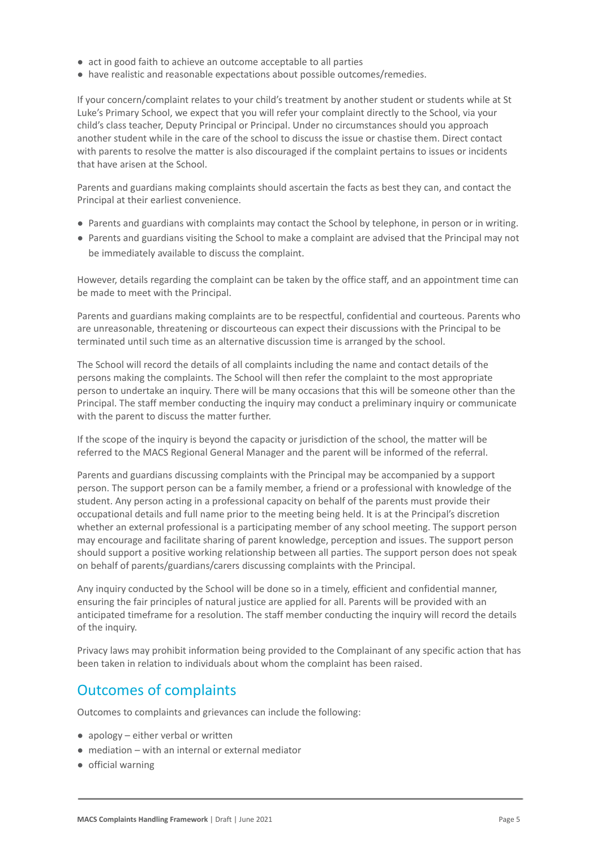- act in good faith to achieve an outcome acceptable to all parties
- have realistic and reasonable expectations about possible outcomes/remedies.

If your concern/complaint relates to your child's treatment by another student or students while at St Luke's Primary School, we expect that you will refer your complaint directly to the School, via your child's class teacher, Deputy Principal or Principal. Under no circumstances should you approach another student while in the care of the school to discuss the issue or chastise them. Direct contact with parents to resolve the matter is also discouraged if the complaint pertains to issues or incidents that have arisen at the School.

Parents and guardians making complaints should ascertain the facts as best they can, and contact the Principal at their earliest convenience.

- Parents and guardians with complaints may contact the School by telephone, in person or in writing.
- Parents and guardians visiting the School to make a complaint are advised that the Principal may not be immediately available to discuss the complaint.

However, details regarding the complaint can be taken by the office staff, and an appointment time can be made to meet with the Principal.

Parents and guardians making complaints are to be respectful, confidential and courteous. Parents who are unreasonable, threatening or discourteous can expect their discussions with the Principal to be terminated until such time as an alternative discussion time is arranged by the school.

The School will record the details of all complaints including the name and contact details of the persons making the complaints. The School will then refer the complaint to the most appropriate person to undertake an inquiry. There will be many occasions that this will be someone other than the Principal. The staff member conducting the inquiry may conduct a preliminary inquiry or communicate with the parent to discuss the matter further.

If the scope of the inquiry is beyond the capacity or jurisdiction of the school, the matter will be referred to the MACS Regional General Manager and the parent will be informed of the referral.

Parents and guardians discussing complaints with the Principal may be accompanied by a support person. The support person can be a family member, a friend or a professional with knowledge of the student. Any person acting in a professional capacity on behalf of the parents must provide their occupational details and full name prior to the meeting being held. It is at the Principal's discretion whether an external professional is a participating member of any school meeting. The support person may encourage and facilitate sharing of parent knowledge, perception and issues. The support person should support a positive working relationship between all parties. The support person does not speak on behalf of parents/guardians/carers discussing complaints with the Principal.

Any inquiry conducted by the School will be done so in a timely, efficient and confidential manner, ensuring the fair principles of natural justice are applied for all. Parents will be provided with an anticipated timeframe for a resolution. The staff member conducting the inquiry will record the details of the inquiry.

Privacy laws may prohibit information being provided to the Complainant of any specific action that has been taken in relation to individuals about whom the complaint has been raised.

# Outcomes of complaints

Outcomes to complaints and grievances can include the following:

- apology either verbal or written
- mediation with an internal or external mediator
- official warning